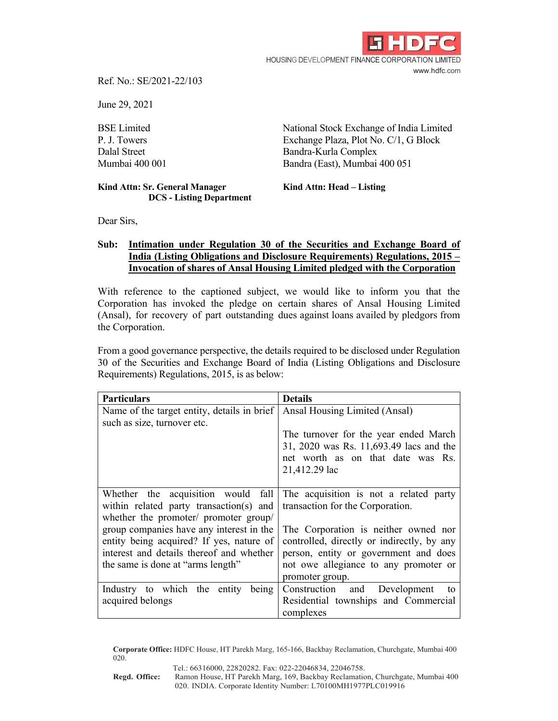

Ref. No.: SE/2021-22/103

June 29, 2021

BSE Limited National Stock Exchange of India Limited P. J. Towers Exchange Plaza, Plot No. C/1, G Block Dalal Street Bandra-Kurla Complex Mumbai 400 001 Bandra (East), Mumbai 400 051

## Kind Attn: Sr. General Manager **Kind Attn: Head – Listing DCS - Listing Department**

Dear Sirs,

## **Sub: Intimation under Regulation 30 of the Securities and Exchange Board of India (Listing Obligations and Disclosure Requirements) Regulations, 2015 – Invocation of shares of Ansal Housing Limited pledged with the Corporation**

With reference to the captioned subject, we would like to inform you that the Corporation has invoked the pledge on certain shares of Ansal Housing Limited (Ansal), for recovery of part outstanding dues against loans availed by pledgors from the Corporation.

From a good governance perspective, the details required to be disclosed under Regulation 30 of the Securities and Exchange Board of India (Listing Obligations and Disclosure Requirements) Regulations, 2015, is as below:

| <b>Particulars</b>                          | <b>Details</b>                                                                                                                         |
|---------------------------------------------|----------------------------------------------------------------------------------------------------------------------------------------|
| Name of the target entity, details in brief | Ansal Housing Limited (Ansal)                                                                                                          |
| such as size, turnover etc.                 |                                                                                                                                        |
|                                             | The turnover for the year ended March<br>31, 2020 was Rs. 11,693.49 lacs and the<br>net worth as on that date was Rs.<br>21,412.29 lac |
| Whether the acquisition would fall          | The acquisition is not a related party                                                                                                 |
| within related party transaction(s) and     | transaction for the Corporation.                                                                                                       |
| whether the promoter/ promoter group/       |                                                                                                                                        |
| group companies have any interest in the    | The Corporation is neither owned nor                                                                                                   |
| entity being acquired? If yes, nature of    | controlled, directly or indirectly, by any                                                                                             |
| interest and details thereof and whether    | person, entity or government and does                                                                                                  |
| the same is done at "arms length"           | not owe allegiance to any promoter or                                                                                                  |
|                                             | promoter group.                                                                                                                        |
| Industry to which the entity<br>being       | Construction and Development<br>to                                                                                                     |
| acquired belongs                            | Residential townships and Commercial                                                                                                   |
|                                             | complexes                                                                                                                              |

**Corporate Office:** HDFC House, HT Parekh Marg, 165-166, Backbay Reclamation, Churchgate, Mumbai 400 020.

Tel.: 66316000, 22820282. Fax: 022-22046834, 22046758.

**Regd. Office:** Ramon House, HT Parekh Marg, 169, Backbay Reclamation, Churchgate, Mumbai 400 020. INDIA. Corporate Identity Number: L70100MH1977PLC019916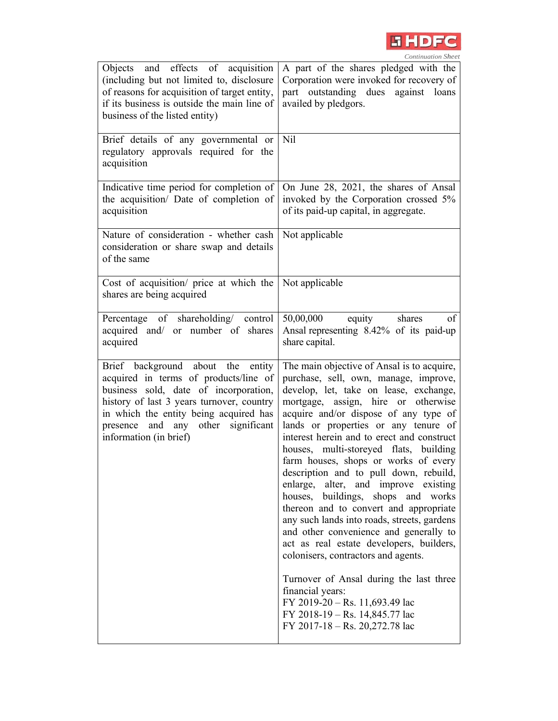

| Objects and effects of acquisition<br>(including but not limited to, disclosure<br>of reasons for acquisition of target entity,<br>if its business is outside the main line of<br>business of the listed entity)                                                           | A part of the shares pledged with the<br>Corporation were invoked for recovery of<br>part outstanding dues against loans<br>availed by pledgors.                                                                                                                                                                                                                                                                                                                                                                                                                                                                                                                                                                                                                                                                                                                                                            |
|----------------------------------------------------------------------------------------------------------------------------------------------------------------------------------------------------------------------------------------------------------------------------|-------------------------------------------------------------------------------------------------------------------------------------------------------------------------------------------------------------------------------------------------------------------------------------------------------------------------------------------------------------------------------------------------------------------------------------------------------------------------------------------------------------------------------------------------------------------------------------------------------------------------------------------------------------------------------------------------------------------------------------------------------------------------------------------------------------------------------------------------------------------------------------------------------------|
| Brief details of any governmental or<br>regulatory approvals required for the<br>acquisition                                                                                                                                                                               | <b>Nil</b>                                                                                                                                                                                                                                                                                                                                                                                                                                                                                                                                                                                                                                                                                                                                                                                                                                                                                                  |
| Indicative time period for completion of<br>the acquisition/ Date of completion of<br>acquisition                                                                                                                                                                          | On June 28, 2021, the shares of Ansal<br>invoked by the Corporation crossed 5%<br>of its paid-up capital, in aggregate.                                                                                                                                                                                                                                                                                                                                                                                                                                                                                                                                                                                                                                                                                                                                                                                     |
| Nature of consideration - whether cash<br>consideration or share swap and details<br>of the same                                                                                                                                                                           | Not applicable                                                                                                                                                                                                                                                                                                                                                                                                                                                                                                                                                                                                                                                                                                                                                                                                                                                                                              |
| Cost of acquisition/ price at which the<br>shares are being acquired                                                                                                                                                                                                       | Not applicable                                                                                                                                                                                                                                                                                                                                                                                                                                                                                                                                                                                                                                                                                                                                                                                                                                                                                              |
| Percentage of shareholding/ control<br>acquired and/ or number of shares<br>acquired                                                                                                                                                                                       | 50,00,000<br>equity<br>shares<br>of<br>Ansal representing 8.42% of its paid-up<br>share capital.                                                                                                                                                                                                                                                                                                                                                                                                                                                                                                                                                                                                                                                                                                                                                                                                            |
| Brief background about the entity<br>acquired in terms of products/line of<br>business sold, date of incorporation,<br>history of last 3 years turnover, country<br>in which the entity being acquired has<br>presence and any other significant<br>information (in brief) | The main objective of Ansal is to acquire,<br>purchase, sell, own, manage, improve,<br>develop, let, take on lease, exchange,<br>mortgage, assign, hire or otherwise<br>acquire and/or dispose of any type of<br>lands or properties or any tenure of<br>interest herein and to erect and construct<br>houses, multi-storeyed flats, building<br>farm houses, shops or works of every<br>description and to pull down, rebuild,<br>enlarge, alter, and improve existing<br>buildings, shops and works<br>houses,<br>thereon and to convert and appropriate<br>any such lands into roads, streets, gardens<br>and other convenience and generally to<br>act as real estate developers, builders,<br>colonisers, contractors and agents.<br>Turnover of Ansal during the last three<br>financial years:<br>FY 2019-20 - Rs. 11,693.49 lac<br>FY 2018-19 - Rs. 14,845.77 lac<br>FY 2017-18 - Rs. 20,272.78 lac |